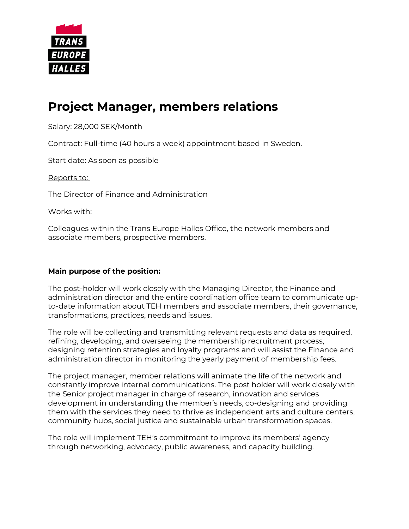

# **Project Manager, members relations**

Salary: 28,000 SEK/Month

Contract: Full-time (40 hours a week) appointment based in Sweden.

Start date: As soon as possible

Reports to:

The Director of Finance and Administration

Works with:

Colleagues within the Trans Europe Halles Office, the network members and associate members, prospective members.

#### **Main purpose of the position:**

The post-holder will work closely with the Managing Director, the Finance and administration director and the entire coordination office team to communicate upto-date information about TEH members and associate members, their governance, transformations, practices, needs and issues.

The role will be collecting and transmitting relevant requests and data as required, refining, developing, and overseeing the membership recruitment process, designing retention strategies and loyalty programs and will assist the Finance and administration director in monitoring the yearly payment of membership fees.

The project manager, member relations will animate the life of the network and constantly improve internal communications. The post holder will work closely with the Senior project manager in charge of research, innovation and services development in understanding the member's needs, co-designing and providing them with the services they need to thrive as independent arts and culture centers, community hubs, social justice and sustainable urban transformation spaces.

The role will implement TEH's commitment to improve its members' agency through networking, advocacy, public awareness, and capacity building.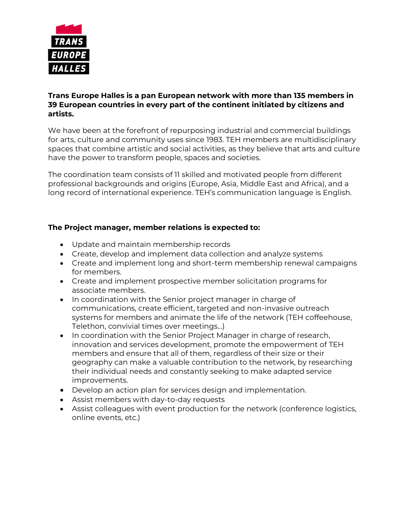

#### **Trans Europe Halles is a pan European network with more than 135 members in 39 European countries in every part of the continent initiated by citizens and artists.**

We have been at the forefront of repurposing industrial and commercial buildings for arts, culture and community uses since 1983. TEH members are multidisciplinary spaces that combine artistic and social activities, as they believe that arts and culture have the power to transform people, spaces and societies.

The coordination team consists of 11 skilled and motivated people from different professional backgrounds and origins (Europe, Asia, Middle East and Africa), and a long record of international experience. TEH's communication language is English.

# **The Project manager, member relations is expected to:**

- Update and maintain membership records
- Create, develop and implement data collection and analyze systems
- Create and implement long and short-term membership renewal campaigns for members.
- Create and implement prospective member solicitation programs for associate members.
- In coordination with the Senior project manager in charge of communications, create efficient, targeted and non-invasive outreach systems for members and animate the life of the network (TEH coffeehouse, Telethon, convivial times over meetings…)
- In coordination with the Senior Project Manager in charge of research, innovation and services development, promote the empowerment of TEH members and ensure that all of them, regardless of their size or their geography can make a valuable contribution to the network, by researching their individual needs and constantly seeking to make adapted service improvements.
- Develop an action plan for services design and implementation.
- Assist members with day-to-day requests
- Assist colleagues with event production for the network (conference logistics, online events, etc.)